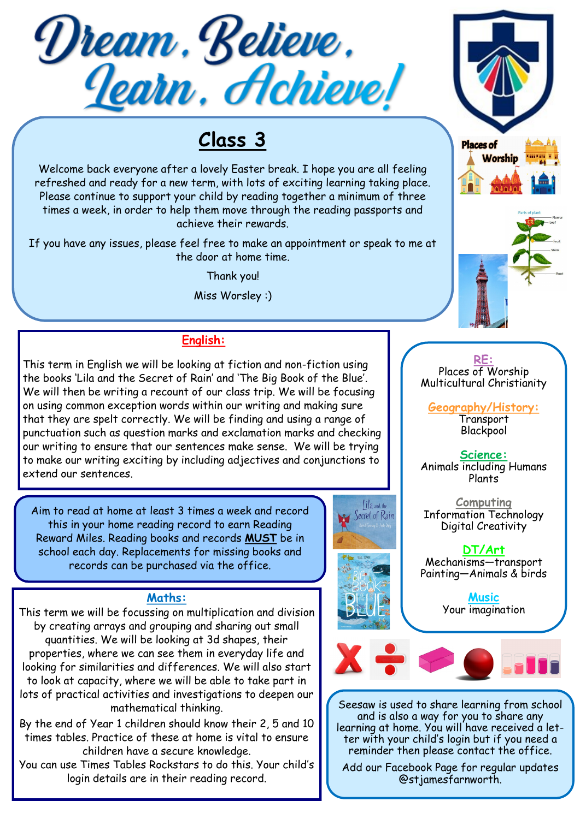

# **Class 3**

Welcome back everyone after a lovely Easter break. I hope you are all feeling refreshed and ready for a new term, with lots of exciting learning taking place. Please continue to support your child by reading together a minimum of three times a week, in order to help them move through the reading passports and achieve their rewards.

If you have any issues, please feel free to make an appointment or speak to me at the door at home time.

Thank you!

Miss Worsley :)

## **English:**

This term in English we will be looking at fiction and non-fiction using the books 'Lila and the Secret of Rain' and 'The Big Book of the Blue'. We will then be writing a recount of our class trip. We will be focusing on using common exception words within our writing and making sure that they are spelt correctly. We will be finding and using a range of punctuation such as question marks and exclamation marks and checking our writing to ensure that our sentences make sense. We will be trying to make our writing exciting by including adjectives and conjunctions to extend our sentences.

Aim to read at home at least 3 times a week and record this in your home reading record to earn Reading Reward Miles. Reading books and records **MUST** be in school each day. Replacements for missing books and records can be purchased via the office.

### **Maths:**

This term we will be focussing on multiplication and division by creating arrays and grouping and sharing out small quantities. We will be looking at 3d shapes, their properties, where we can see them in everyday life and looking for similarities and differences. We will also start to look at capacity, where we will be able to take part in lots of practical activities and investigations to deepen our mathematical thinking.

By the end of Year 1 children should know their 2, 5 and 10 times tables. Practice of these at home is vital to ensure children have a secure knowledge.

You can use Times Tables Rockstars to do this. Your child's login details are in their reading record.







#### **RE:** Places of Worship Multicultural Christianity

**Geography/History:**  Transport **Blackpool** 

**Science:** Animals including Humans Plants

**Computing** Information Technology Digital Creativity

**DT/Art** Mechanisms—transport Painting—Animals & birds

> **Music** Your imagination



Seesaw is used to share learning from school and is also a way for you to share any learning at home. You will have received a letter with your child's login but if you need a reminder then please contact the office.

Add our Facebook Page for regular updates @stjamesfarnworth.